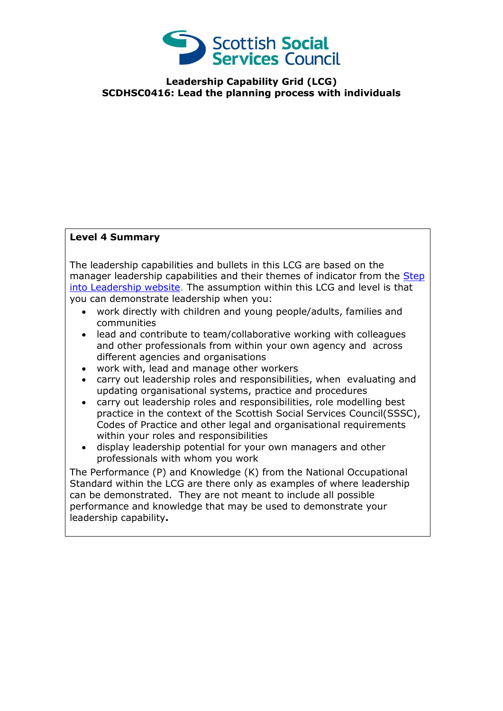

## **Leadership Capability Grid (LCG) SCDHSC0416: Lead the planning process with individuals**

## **Level 4 Summary**

The leadership capabilities and bullets in this LCG are based on the manager leadership capabilities and their themes of indicator from the Step [into Leadership website.](http://www.stepintoleadership.info/) The assumption within this LCG and level is that you can demonstrate leadership when you:

- work directly with children and young people/adults, families and communities
- lead and contribute to team/collaborative working with colleagues and other professionals from within your own agency and across different agencies and organisations
- work with, lead and manage other workers
- carry out leadership roles and responsibilities, when evaluating and updating organisational systems, practice and procedures
- carry out leadership roles and responsibilities, role modelling best practice in the context of the Scottish Social Services Council(SSSC), Codes of Practice and other legal and organisational requirements within your roles and responsibilities
- display leadership potential for your own managers and other professionals with whom you work

The Performance (P) and Knowledge (K) from the National Occupational Standard within the LCG are there only as examples of where leadership can be demonstrated. They are not meant to include all possible performance and knowledge that may be used to demonstrate your leadership capability**.**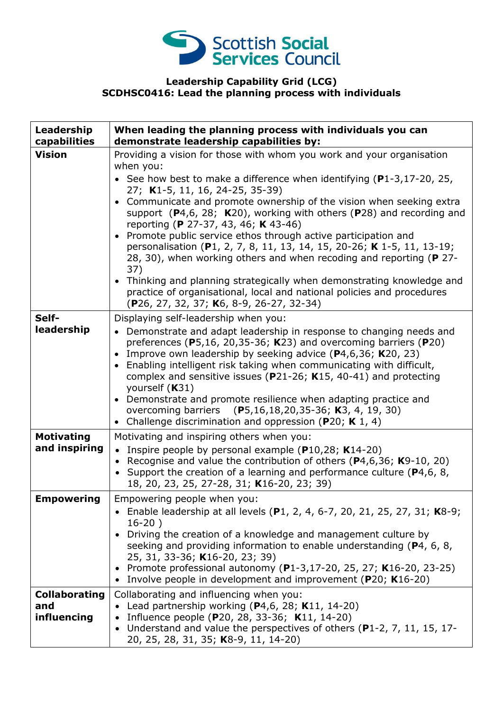

## **Leadership Capability Grid (LCG) SCDHSC0416: Lead the planning process with individuals**

| Leadership<br>capabilities                 | When leading the planning process with individuals you can<br>demonstrate leadership capabilities by:                                                                                                                                                                                                                                                                                                                                                                                                                                                                                                                                                                                                                                                                                                                 |
|--------------------------------------------|-----------------------------------------------------------------------------------------------------------------------------------------------------------------------------------------------------------------------------------------------------------------------------------------------------------------------------------------------------------------------------------------------------------------------------------------------------------------------------------------------------------------------------------------------------------------------------------------------------------------------------------------------------------------------------------------------------------------------------------------------------------------------------------------------------------------------|
| <b>Vision</b>                              | Providing a vision for those with whom you work and your organisation<br>when you:<br>• See how best to make a difference when identifying $(P1-3, 17-20, 25,$<br>27; K1-5, 11, 16, 24-25, 35-39)<br>Communicate and promote ownership of the vision when seeking extra<br>support $(P4,6, 28; K20)$ , working with others $(P28)$ and recording and<br>reporting (P 27-37, 43, 46; K 43-46)<br>Promote public service ethos through active participation and<br>personalisation (P1, 2, 7, 8, 11, 13, 14, 15, 20-26; K 1-5, 11, 13-19;<br>28, 30), when working others and when recoding and reporting (P 27-<br>37)<br>• Thinking and planning strategically when demonstrating knowledge and<br>practice of organisational, local and national policies and procedures<br>(P26, 27, 32, 37; K6, 8-9, 26-27, 32-34) |
| Self-<br>leadership                        | Displaying self-leadership when you:<br>• Demonstrate and adapt leadership in response to changing needs and<br>preferences ( $P$ 5,16, 20,35-36; K23) and overcoming barriers ( $P$ 20)<br>Improve own leadership by seeking advice (P4,6,36; K20, 23)<br>$\bullet$<br>Enabling intelligent risk taking when communicating with difficult,<br>$\bullet$<br>complex and sensitive issues ( $P$ 21-26; K15, 40-41) and protecting<br>yourself (K31)<br>Demonstrate and promote resilience when adapting practice and<br>overcoming barriers (P5,16,18,20,35-36; K3, 4, 19, 30)<br>Challenge discrimination and oppression (P20; K 1, 4)<br>$\bullet$                                                                                                                                                                   |
| <b>Motivating</b><br>and inspiring         | Motivating and inspiring others when you:<br>• Inspire people by personal example ( $P10,28$ ; K14-20)<br>Recognise and value the contribution of others ( $P4,6,36$ ; $K9-10$ , 20)<br>Support the creation of a learning and performance culture (P4,6, 8,<br>18, 20, 23, 25, 27-28, 31; K16-20, 23; 39)                                                                                                                                                                                                                                                                                                                                                                                                                                                                                                            |
| <b>Empowering</b>                          | Empowering people when you:<br>• Enable leadership at all levels (P1, 2, 4, 6-7, 20, 21, 25, 27, 31; K8-9;<br>$16-20)$<br>Driving the creation of a knowledge and management culture by<br>seeking and providing information to enable understanding (P4, 6, 8,<br>25, 31, 33-36; K16-20, 23; 39)<br>• Promote professional autonomy (P1-3,17-20, 25, 27; K16-20, 23-25)<br>Involve people in development and improvement (P20; K16-20)                                                                                                                                                                                                                                                                                                                                                                               |
| <b>Collaborating</b><br>and<br>influencing | Collaborating and influencing when you:<br>• Lead partnership working $(P4,6, 28; K11, 14-20)$<br>Influence people (P20, 28, 33-36; K11, 14-20)<br>Understand and value the perspectives of others (P1-2, 7, 11, 15, 17-<br>20, 25, 28, 31, 35; K8-9, 11, 14-20)                                                                                                                                                                                                                                                                                                                                                                                                                                                                                                                                                      |